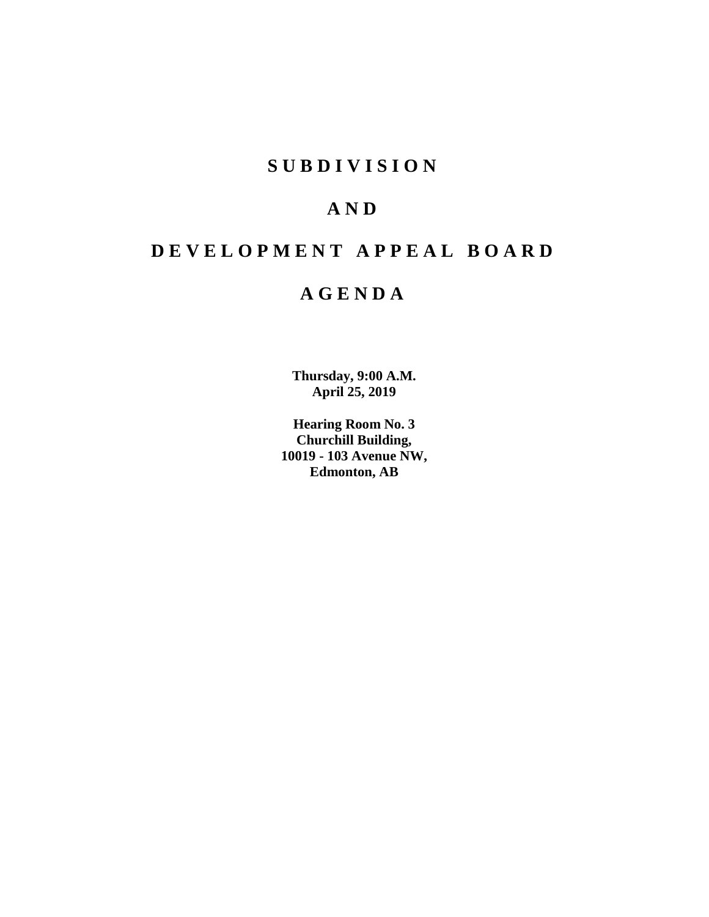# **SUBDIVISION**

# **AND**

# **DEVELOPMENT APPEAL BOARD**

# **AGENDA**

**Thursday, 9:00 A.M. April 25, 2019**

**Hearing Room No. 3 Churchill Building, 10019 - 103 Avenue NW, Edmonton, AB**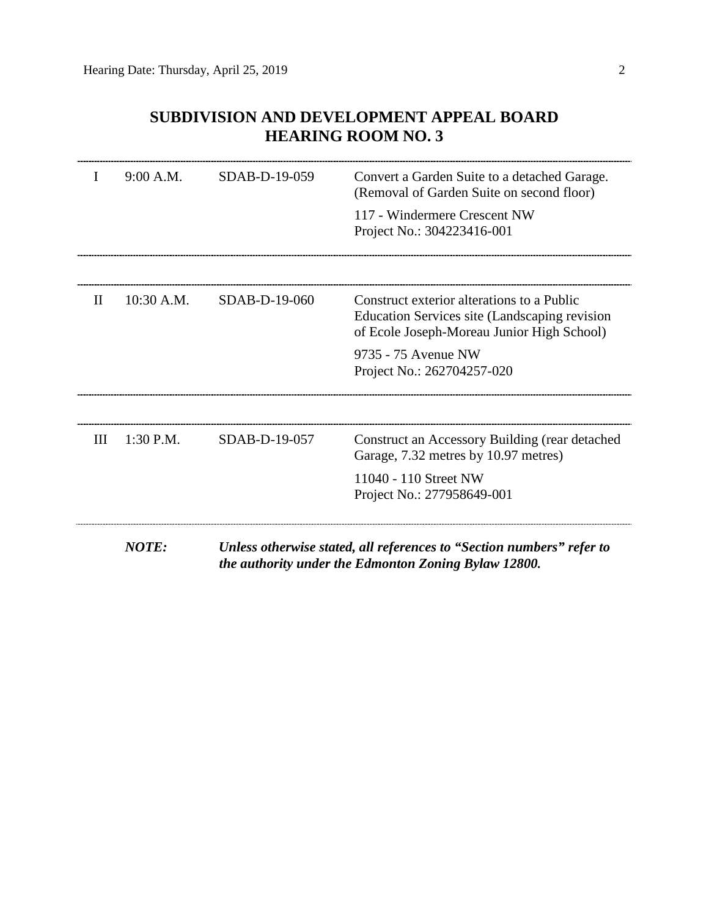# **SUBDIVISION AND DEVELOPMENT APPEAL BOARD HEARING ROOM NO. 3**

| L            | 9:00 A.M.    | SDAB-D-19-059 | Convert a Garden Suite to a detached Garage.<br>(Removal of Garden Suite on second floor)                                                 |
|--------------|--------------|---------------|-------------------------------------------------------------------------------------------------------------------------------------------|
|              |              |               | 117 - Windermere Crescent NW<br>Project No.: 304223416-001                                                                                |
|              |              |               |                                                                                                                                           |
| $\mathbf{I}$ | 10:30 A.M.   | SDAB-D-19-060 | Construct exterior alterations to a Public<br>Education Services site (Landscaping revision<br>of Ecole Joseph-Moreau Junior High School) |
|              |              |               | 9735 - 75 Avenue NW<br>Project No.: 262704257-020                                                                                         |
|              |              |               |                                                                                                                                           |
| Ш            | $1:30$ P.M.  | SDAB-D-19-057 | Construct an Accessory Building (rear detached<br>Garage, 7.32 metres by 10.97 metres)                                                    |
|              |              |               | 11040 - 110 Street NW<br>Project No.: 277958649-001                                                                                       |
|              | <b>NOTE:</b> |               | Unless otherwise stated, all references to "Section numbers" refer to<br>the authority under the Edmonton Zoning Bylaw 12800.             |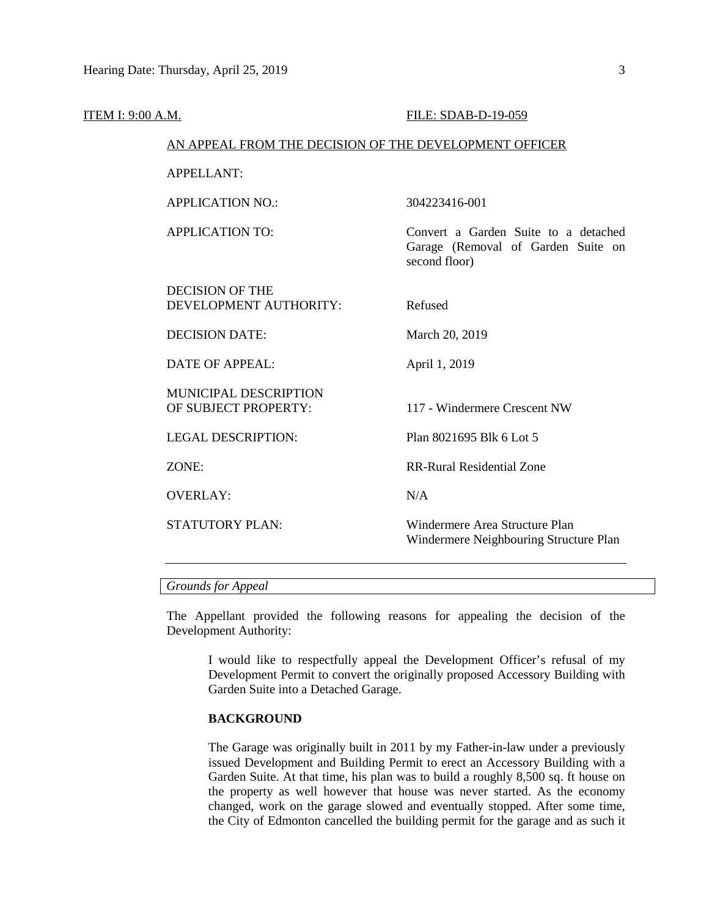| ITEM I: 9:00 A.M. |                                                        | FILE: SDAB-D-19-059                                                                         |
|-------------------|--------------------------------------------------------|---------------------------------------------------------------------------------------------|
|                   | AN APPEAL FROM THE DECISION OF THE DEVELOPMENT OFFICER |                                                                                             |
|                   | <b>APPELLANT:</b>                                      |                                                                                             |
|                   | <b>APPLICATION NO.:</b>                                | 304223416-001                                                                               |
|                   | <b>APPLICATION TO:</b>                                 | Convert a Garden Suite to a detached<br>Garage (Removal of Garden Suite on<br>second floor) |
|                   | <b>DECISION OF THE</b><br>DEVELOPMENT AUTHORITY:       | Refused                                                                                     |
|                   | <b>DECISION DATE:</b>                                  | March 20, 2019                                                                              |
|                   | <b>DATE OF APPEAL:</b>                                 | April 1, 2019                                                                               |
|                   | <b>MUNICIPAL DESCRIPTION</b><br>OF SUBJECT PROPERTY:   | 117 - Windermere Crescent NW                                                                |
|                   | <b>LEGAL DESCRIPTION:</b>                              | Plan 8021695 Blk 6 Lot 5                                                                    |
|                   | ZONE:                                                  | <b>RR-Rural Residential Zone</b>                                                            |
|                   | <b>OVERLAY:</b>                                        | N/A                                                                                         |
|                   | STATUTORY PLAN:                                        | Windermere Area Structure Plan<br>Windermere Neighbouring Structure Plan                    |
|                   |                                                        |                                                                                             |

# *Grounds for Appeal*

The Appellant provided the following reasons for appealing the decision of the Development Authority:

I would like to respectfully appeal the Development Officer's refusal of my Development Permit to convert the originally proposed Accessory Building with Garden Suite into a Detached Garage.

#### **BACKGROUND**

The Garage was originally built in 2011 by my Father-in-law under a previously issued Development and Building Permit to erect an Accessory Building with a Garden Suite. At that time, his plan was to build a roughly 8,500 sq. ft house on the property as well however that house was never started. As the economy changed, work on the garage slowed and eventually stopped. After some time, the City of Edmonton cancelled the building permit for the garage and as such it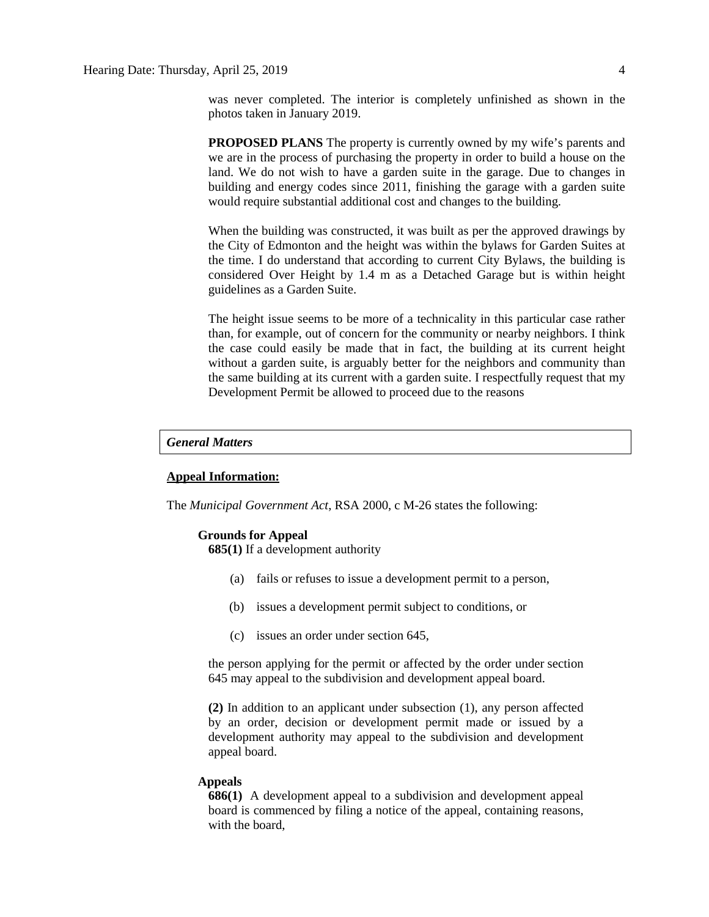was never completed. The interior is completely unfinished as shown in the photos taken in January 2019.

**PROPOSED PLANS** The property is currently owned by my wife's parents and we are in the process of purchasing the property in order to build a house on the land. We do not wish to have a garden suite in the garage. Due to changes in building and energy codes since 2011, finishing the garage with a garden suite would require substantial additional cost and changes to the building.

When the building was constructed, it was built as per the approved drawings by the City of Edmonton and the height was within the bylaws for Garden Suites at the time. I do understand that according to current City Bylaws, the building is considered Over Height by 1.4 m as a Detached Garage but is within height guidelines as a Garden Suite.

The height issue seems to be more of a technicality in this particular case rather than, for example, out of concern for the community or nearby neighbors. I think the case could easily be made that in fact, the building at its current height without a garden suite, is arguably better for the neighbors and community than the same building at its current with a garden suite. I respectfully request that my Development Permit be allowed to proceed due to the reasons

### *General Matters*

### **Appeal Information:**

The *Municipal Government Act*, RSA 2000, c M-26 states the following:

#### **Grounds for Appeal**

**685(1)** If a development authority

- (a) fails or refuses to issue a development permit to a person,
- (b) issues a development permit subject to conditions, or
- (c) issues an order under section 645,

the person applying for the permit or affected by the order under section 645 may appeal to the subdivision and development appeal board.

**(2)** In addition to an applicant under subsection (1), any person affected by an order, decision or development permit made or issued by a development authority may appeal to the subdivision and development appeal board.

#### **Appeals**

**686(1)** A development appeal to a subdivision and development appeal board is commenced by filing a notice of the appeal, containing reasons, with the board,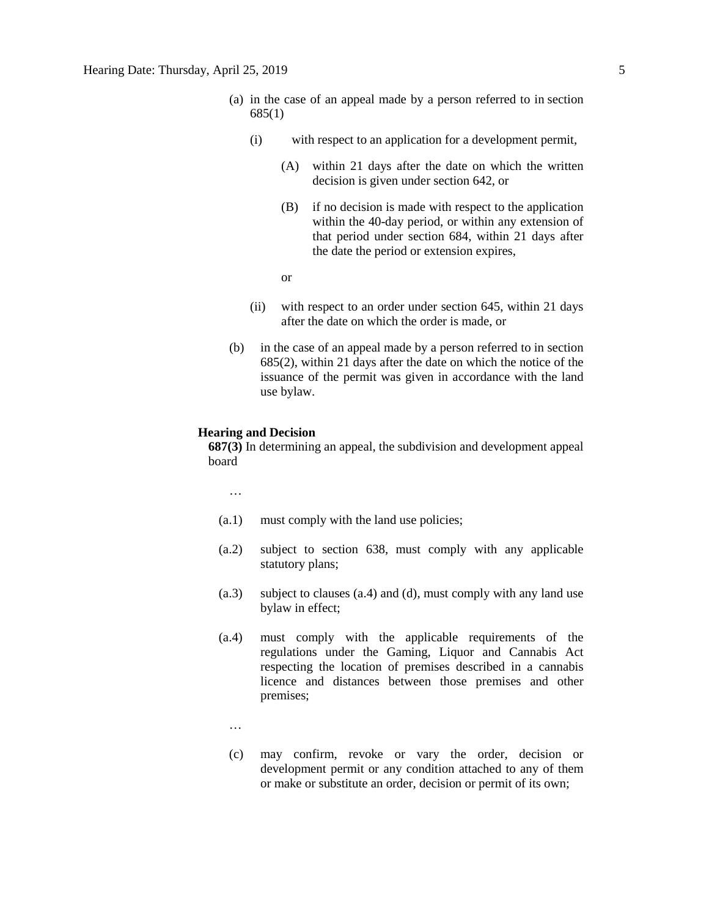- (a) in the case of an appeal made by a person referred to in section 685(1)
	- (i) with respect to an application for a development permit,
		- (A) within 21 days after the date on which the written decision is given under section 642, or
		- (B) if no decision is made with respect to the application within the 40-day period, or within any extension of that period under section 684, within 21 days after the date the period or extension expires,
		- or
	- (ii) with respect to an order under section 645, within 21 days after the date on which the order is made, or
- (b) in the case of an appeal made by a person referred to in section 685(2), within 21 days after the date on which the notice of the issuance of the permit was given in accordance with the land use bylaw.

#### **Hearing and Decision**

**687(3)** In determining an appeal, the subdivision and development appeal board

…

- (a.1) must comply with the land use policies;
- (a.2) subject to section 638, must comply with any applicable statutory plans;
- (a.3) subject to clauses (a.4) and (d), must comply with any land use bylaw in effect;
- (a.4) must comply with the applicable requirements of the regulations under the Gaming, Liquor and Cannabis Act respecting the location of premises described in a cannabis licence and distances between those premises and other premises;
	- …
	- (c) may confirm, revoke or vary the order, decision or development permit or any condition attached to any of them or make or substitute an order, decision or permit of its own;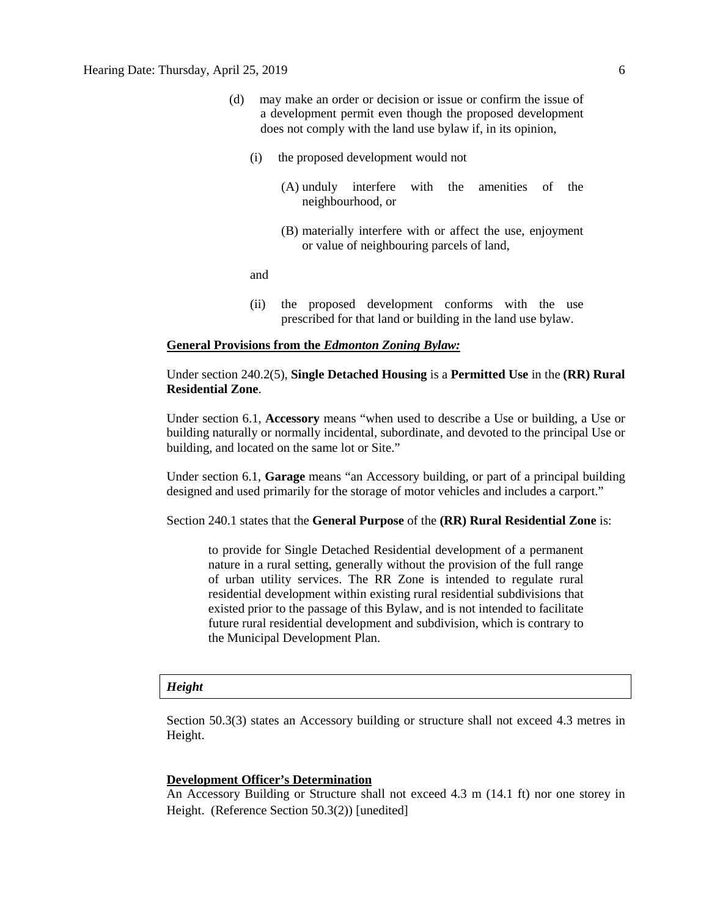- (d) may make an order or decision or issue or confirm the issue of a development permit even though the proposed development does not comply with the land use bylaw if, in its opinion,
	- (i) the proposed development would not
		- (A) unduly interfere with the amenities of the neighbourhood, or
		- (B) materially interfere with or affect the use, enjoyment or value of neighbouring parcels of land,

and

(ii) the proposed development conforms with the use prescribed for that land or building in the land use bylaw.

#### **General Provisions from the** *Edmonton Zoning Bylaw:*

# Under section 240.2(5), **Single Detached Housing** is a **Permitted Use** in the **(RR) Rural Residential Zone**.

Under section 6.1, **Accessory** means "when used to describe a Use or building, a Use or building naturally or normally incidental, subordinate, and devoted to the principal Use or building, and located on the same lot or Site."

Under section 6.1, **Garage** means "an Accessory building, or part of a principal building designed and used primarily for the storage of motor vehicles and includes a carport."

Section 240.1 states that the **General Purpose** of the **(RR) Rural Residential Zone** is:

to provide for Single Detached Residential development of a permanent nature in a rural setting, generally without the provision of the full range of urban utility services. The RR Zone is intended to regulate rural residential development within existing rural residential subdivisions that existed prior to the passage of this Bylaw, and is not intended to facilitate future rural residential development and subdivision, which is contrary to the Municipal Development Plan.

#### *Height*

Section 50.3(3) states an Accessory building or structure shall not exceed 4.3 metres in Height.

#### **Development Officer's Determination**

An Accessory Building or Structure shall not exceed 4.3 m (14.1 ft) nor one storey in Height. (Reference Section 50.3(2)) [unedited]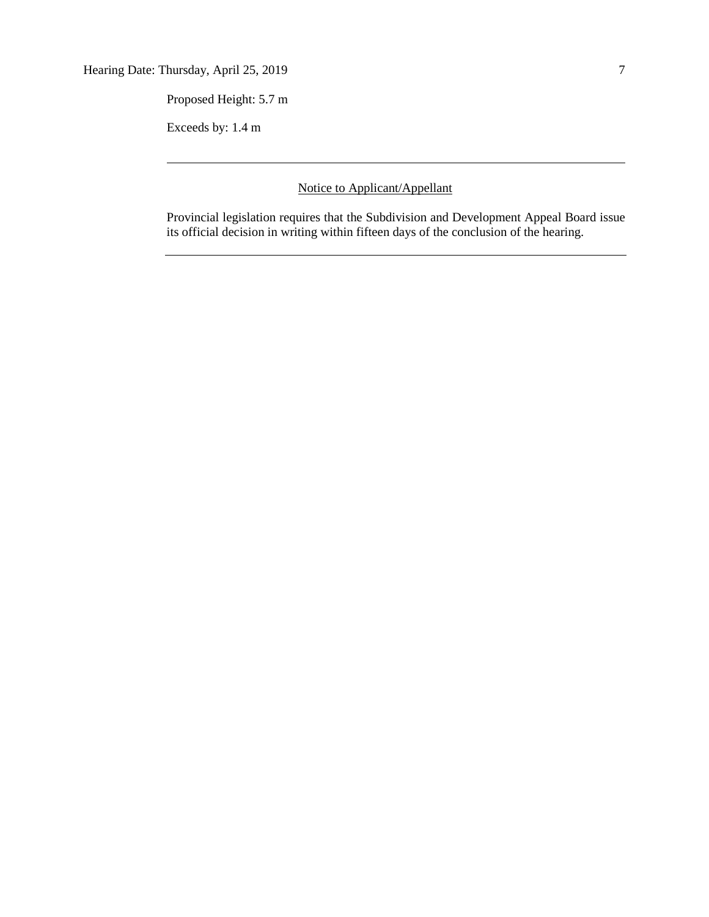Proposed Height: 5.7 m

Exceeds by: 1.4 m

Notice to Applicant/Appellant

Provincial legislation requires that the Subdivision and Development Appeal Board issue its official decision in writing within fifteen days of the conclusion of the hearing.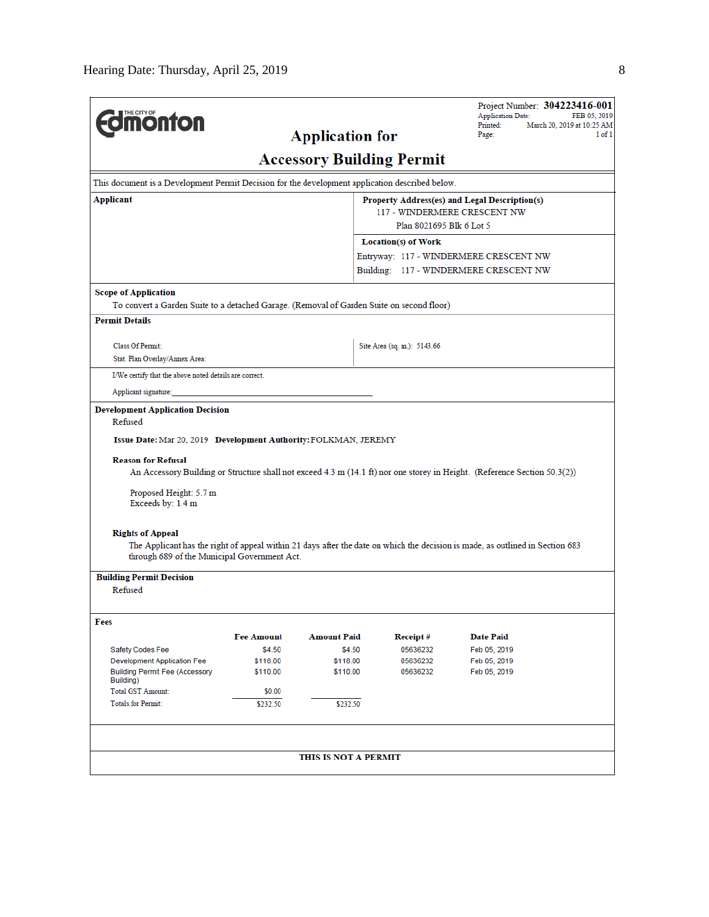| THE CITY OF<br><b>nonton</b>                                                                                                                                                                                                                                             |                                               | <b>Application for</b> |                                        | <b>Application Date:</b><br>Printed:<br>Page: | Project Number: 304223416-001<br>FEB 05, 2019<br>March 20, 2019 at 10:25 AM<br>$1$ of $1$ |  |  |  |  |
|--------------------------------------------------------------------------------------------------------------------------------------------------------------------------------------------------------------------------------------------------------------------------|-----------------------------------------------|------------------------|----------------------------------------|-----------------------------------------------|-------------------------------------------------------------------------------------------|--|--|--|--|
| <b>Accessory Building Permit</b>                                                                                                                                                                                                                                         |                                               |                        |                                        |                                               |                                                                                           |  |  |  |  |
| This document is a Development Permit Decision for the development application described below.                                                                                                                                                                          |                                               |                        |                                        |                                               |                                                                                           |  |  |  |  |
| Applicant                                                                                                                                                                                                                                                                | Property Address(es) and Legal Description(s) |                        |                                        |                                               |                                                                                           |  |  |  |  |
| 117 - WINDERMERE CRESCENT NW                                                                                                                                                                                                                                             |                                               |                        |                                        |                                               |                                                                                           |  |  |  |  |
| Plan 8021695 Blk 6 Lot 5                                                                                                                                                                                                                                                 |                                               |                        |                                        |                                               |                                                                                           |  |  |  |  |
| <b>Location(s) of Work</b><br>Entryway: 117 - WINDERMERE CRESCENT NW                                                                                                                                                                                                     |                                               |                        |                                        |                                               |                                                                                           |  |  |  |  |
|                                                                                                                                                                                                                                                                          |                                               |                        | Building: 117 - WINDERMERE CRESCENT NW |                                               |                                                                                           |  |  |  |  |
|                                                                                                                                                                                                                                                                          |                                               |                        |                                        |                                               |                                                                                           |  |  |  |  |
| <b>Scope of Application</b><br>To convert a Garden Suite to a detached Garage. (Removal of Garden Suite on second floor)                                                                                                                                                 |                                               |                        |                                        |                                               |                                                                                           |  |  |  |  |
| <b>Permit Details</b>                                                                                                                                                                                                                                                    |                                               |                        |                                        |                                               |                                                                                           |  |  |  |  |
|                                                                                                                                                                                                                                                                          |                                               |                        |                                        |                                               |                                                                                           |  |  |  |  |
| <b>Class Of Permit:</b>                                                                                                                                                                                                                                                  |                                               |                        | Site Area (sq. m.): 5143.66            |                                               |                                                                                           |  |  |  |  |
| Stat. Plan Overlay/Annex Area:                                                                                                                                                                                                                                           |                                               |                        |                                        |                                               |                                                                                           |  |  |  |  |
| I/We certify that the above noted details are correct.                                                                                                                                                                                                                   |                                               |                        |                                        |                                               |                                                                                           |  |  |  |  |
| Applicant signature:                                                                                                                                                                                                                                                     |                                               |                        |                                        |                                               |                                                                                           |  |  |  |  |
| Issue Date: Mar 20, 2019 Development Authority: FOLKMAN, JEREMY<br><b>Reason for Refusal</b><br>An Accessory Building or Structure shall not exceed 4.3 m (14.1 ft) nor one storey in Height. (Reference Section 50.3(2))<br>Proposed Height: 5.7 m<br>Exceeds by: 1.4 m |                                               |                        |                                        |                                               |                                                                                           |  |  |  |  |
| <b>Rights of Appeal</b><br>The Applicant has the right of appeal within 21 days after the date on which the decision is made, as outlined in Section 683<br>through 689 of the Municipal Government Act.                                                                 |                                               |                        |                                        |                                               |                                                                                           |  |  |  |  |
| <b>Building Permit Decision</b>                                                                                                                                                                                                                                          |                                               |                        |                                        |                                               |                                                                                           |  |  |  |  |
| Refused                                                                                                                                                                                                                                                                  |                                               |                        |                                        |                                               |                                                                                           |  |  |  |  |
|                                                                                                                                                                                                                                                                          |                                               |                        |                                        |                                               |                                                                                           |  |  |  |  |
| Fees                                                                                                                                                                                                                                                                     | <b>Fee Amount</b>                             | <b>Amount Paid</b>     | Receipt#                               | <b>Date Paid</b>                              |                                                                                           |  |  |  |  |
| Safety Codes Fee                                                                                                                                                                                                                                                         | \$4.50                                        | \$4.50                 | 05636232                               | Feb 05, 2019                                  |                                                                                           |  |  |  |  |
| <b>Development Application Fee</b>                                                                                                                                                                                                                                       | \$118.00                                      | \$118.00               | 05636232                               | Feb 05, 2019                                  |                                                                                           |  |  |  |  |
| <b>Building Permit Fee (Accessory</b><br>Building)                                                                                                                                                                                                                       | \$110.00                                      | \$110.00               | 05636232                               | Feb 05, 2019                                  |                                                                                           |  |  |  |  |
| <b>Total GST Amount:</b>                                                                                                                                                                                                                                                 | \$0.00                                        |                        |                                        |                                               |                                                                                           |  |  |  |  |
| <b>Totals for Permit:</b>                                                                                                                                                                                                                                                | \$232.50                                      | \$232.50               |                                        |                                               |                                                                                           |  |  |  |  |
|                                                                                                                                                                                                                                                                          |                                               |                        |                                        |                                               |                                                                                           |  |  |  |  |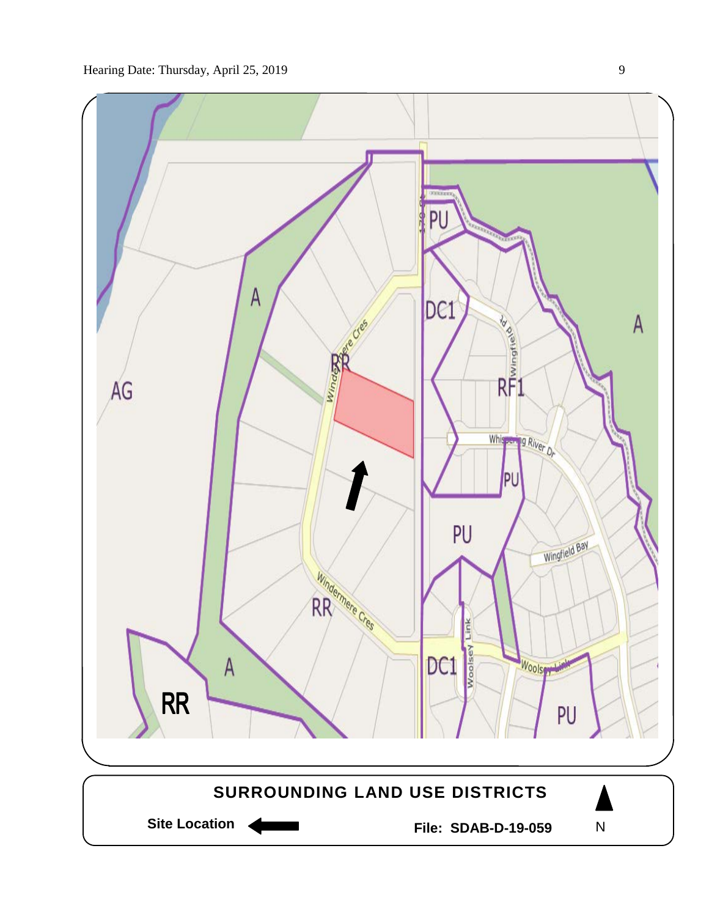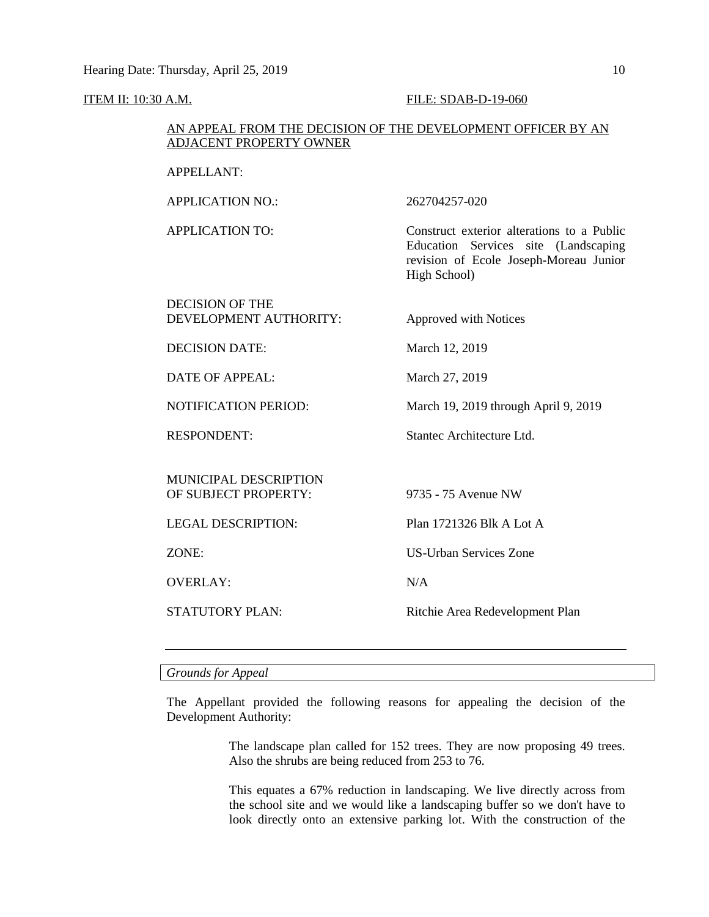#### **ITEM II: 10:30 A.M. FILE: SDAB-D-19-060**

# AN APPEAL FROM THE DECISION OF THE DEVELOPMENT OFFICER BY AN ADJACENT PROPERTY OWNER

APPLICATION NO.: 262704257-020

APPLICATION TO: Construct exterior alterations to a Public Education Services site (Landscaping revision of Ecole Joseph-Moreau Junior High School)

DECISION OF THE DEVELOPMENT AUTHORITY: Approved with Notices

DECISION DATE: March 12, 2019

DATE OF APPEAL: March 27, 2019

NOTIFICATION PERIOD: March 19, 2019 through April 9, 2019

RESPONDENT: Stantec Architecture Ltd.

MUNICIPAL DESCRIPTION OF SUBJECT PROPERTY: 9735 - 75 Avenue NW

OVERLAY· N/A

LEGAL DESCRIPTION: Plan 1721326 Blk A Lot A

ZONE: US-Urban Services Zone

STATUTORY PLAN: Ritchie Area Redevelopment Plan

# *Grounds for Appeal*

The Appellant provided the following reasons for appealing the decision of the Development Authority:

> The landscape plan called for 152 trees. They are now proposing 49 trees. Also the shrubs are being reduced from 253 to 76.

> This equates a 67% reduction in landscaping. We live directly across from the school site and we would like a landscaping buffer so we don't have to look directly onto an extensive parking lot. With the construction of the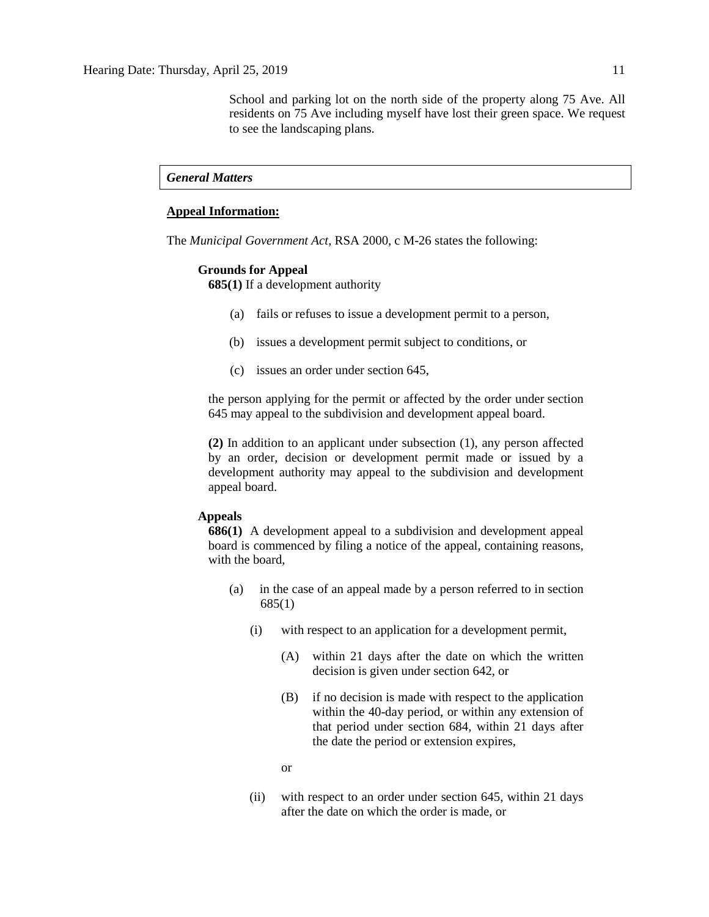School and parking lot on the north side of the property along 75 Ave. All residents on 75 Ave including myself have lost their green space. We request to see the landscaping plans.

### *General Matters*

#### **Appeal Information:**

The *Municipal Government Act*, RSA 2000, c M-26 states the following:

#### **Grounds for Appeal**

**685(1)** If a development authority

- (a) fails or refuses to issue a development permit to a person,
- (b) issues a development permit subject to conditions, or
- (c) issues an order under section 645,

the person applying for the permit or affected by the order under section 645 may appeal to the subdivision and development appeal board.

**(2)** In addition to an applicant under subsection (1), any person affected by an order, decision or development permit made or issued by a development authority may appeal to the subdivision and development appeal board.

#### **Appeals**

**686(1)** A development appeal to a subdivision and development appeal board is commenced by filing a notice of the appeal, containing reasons, with the board,

- (a) in the case of an appeal made by a person referred to in section 685(1)
	- (i) with respect to an application for a development permit,
		- (A) within 21 days after the date on which the written decision is given under section 642, or
		- (B) if no decision is made with respect to the application within the 40-day period, or within any extension of that period under section 684, within 21 days after the date the period or extension expires,
		- or
	- (ii) with respect to an order under section 645, within 21 days after the date on which the order is made, or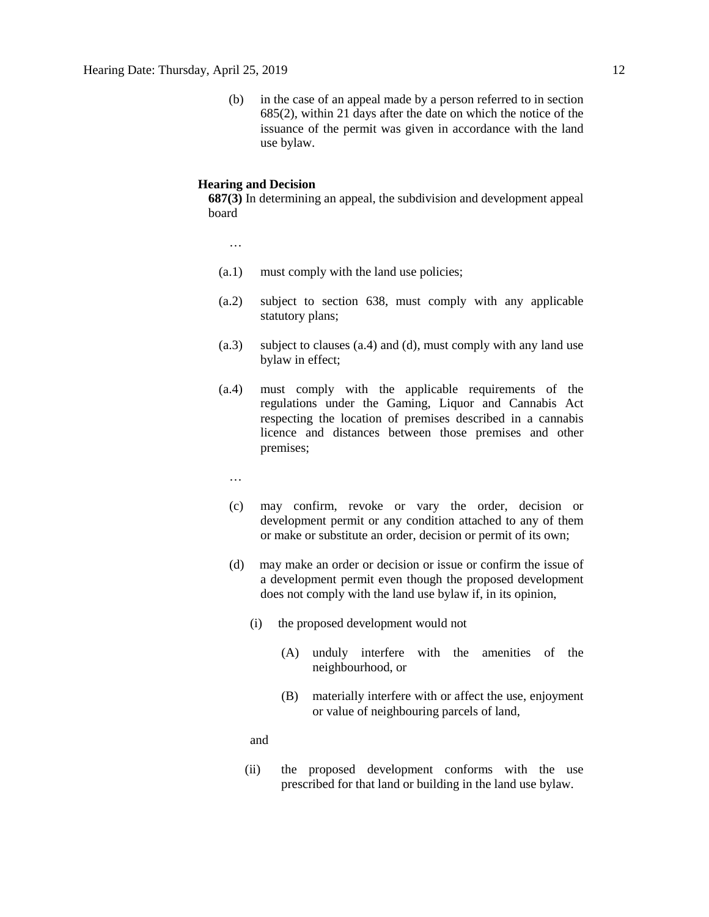(b) in the case of an appeal made by a person referred to in section 685(2), within 21 days after the date on which the notice of the issuance of the permit was given in accordance with the land use bylaw.

### **Hearing and Decision**

**687(3)** In determining an appeal, the subdivision and development appeal board

…

- (a.1) must comply with the land use policies;
- (a.2) subject to section 638, must comply with any applicable statutory plans;
- (a.3) subject to clauses (a.4) and (d), must comply with any land use bylaw in effect;
- (a.4) must comply with the applicable requirements of the regulations under the Gaming, Liquor and Cannabis Act respecting the location of premises described in a cannabis licence and distances between those premises and other premises;
	- …
	- (c) may confirm, revoke or vary the order, decision or development permit or any condition attached to any of them or make or substitute an order, decision or permit of its own;
	- (d) may make an order or decision or issue or confirm the issue of a development permit even though the proposed development does not comply with the land use bylaw if, in its opinion,
		- (i) the proposed development would not
			- (A) unduly interfere with the amenities of the neighbourhood, or
			- (B) materially interfere with or affect the use, enjoyment or value of neighbouring parcels of land,

and

(ii) the proposed development conforms with the use prescribed for that land or building in the land use bylaw.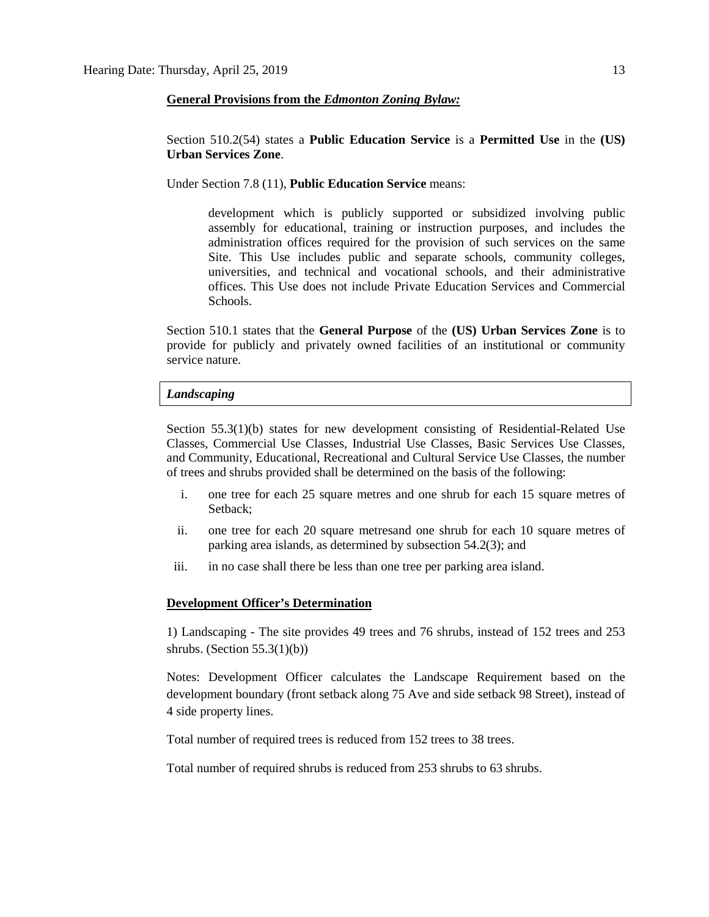#### **General Provisions from the** *Edmonton Zoning Bylaw:*

Section 510.2(54) states a **Public Education Service** is a **Permitted Use** in the **(US) Urban Services Zone**.

Under Section 7.8 (11), **Public Education Service** means:

development which is publicly supported or subsidized involving public assembly for educational, training or instruction purposes, and includes the administration offices required for the provision of such services on the same Site. This Use includes public and separate schools, community colleges, universities, and technical and vocational schools, and their administrative offices. This Use does not include Private Education Services and Commercial Schools.

Section 510.1 states that the **General Purpose** of the **(US) Urban Services Zone** is to provide for publicly and privately owned facilities of an institutional or community service nature.

#### *Landscaping*

Section 55.3(1)(b) states for new development consisting of Residential-Related Use Classes, Commercial Use Classes, Industrial Use Classes, Basic Services Use Classes, and Community, Educational, Recreational and Cultural Service Use Classes, the number of trees and shrubs provided shall be determined on the basis of the following:

- i. one tree for each 25 square metres and one shrub for each 15 square metres of Setback;
- ii. one tree for each 20 square metresand one shrub for each 10 square metres of parking area islands, as determined by subsection 54.2(3); and
- iii. in no case shall there be less than one tree per parking area island.

#### **Development Officer's Determination**

1) Landscaping - The site provides 49 trees and 76 shrubs, instead of 152 trees and 253 shrubs. (Section 55.3(1)(b))

Notes: Development Officer calculates the Landscape Requirement based on the development boundary (front setback along 75 Ave and side setback 98 Street), instead of 4 side property lines.

Total number of required trees is reduced from 152 trees to 38 trees.

Total number of required shrubs is reduced from 253 shrubs to 63 shrubs.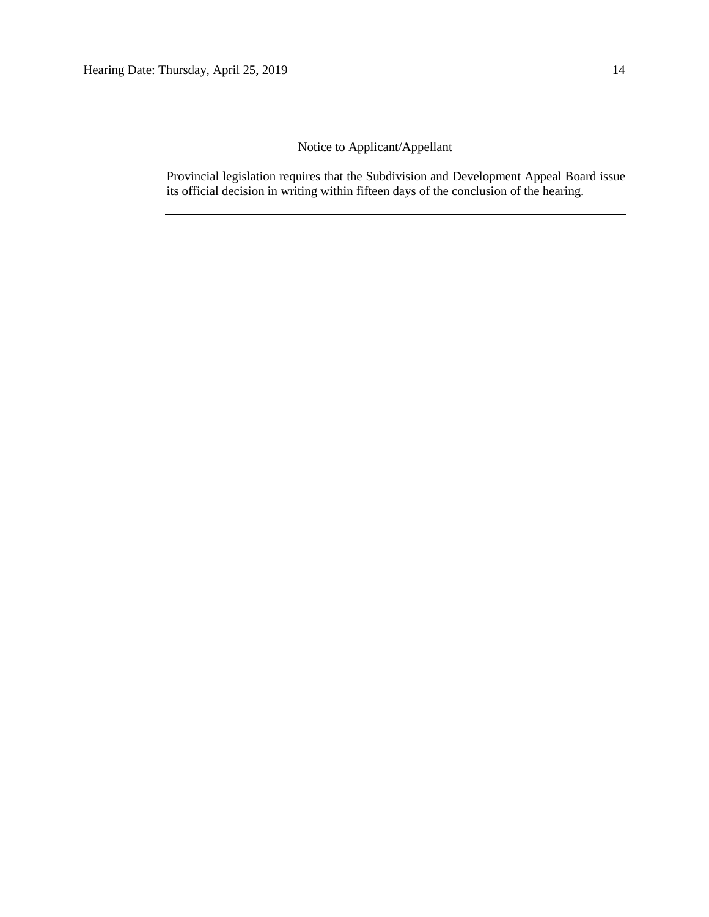# Notice to Applicant/Appellant

Provincial legislation requires that the Subdivision and Development Appeal Board issue its official decision in writing within fifteen days of the conclusion of the hearing.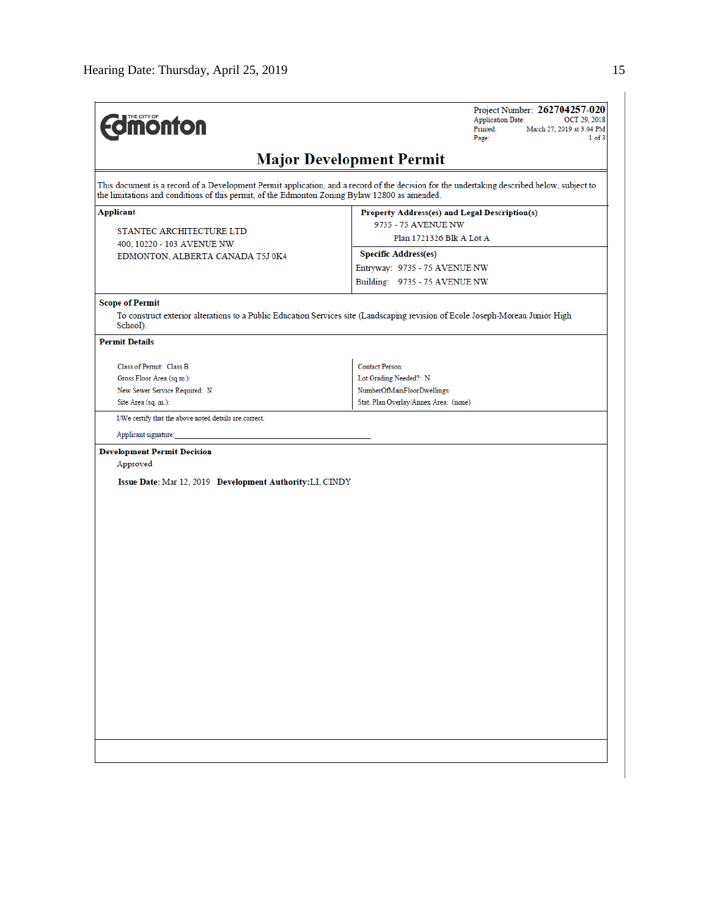| <b><i><u><u><b>M</b>onton</u></u></i></b>                 | Project Number: 262704257-020<br><b>Application Date:</b><br>OCT 29, 2018<br>Printed:<br>March 27, 2019 at 3:04 PM<br>Page:<br>1 of 3                                                                                                        |  |  |  |  |  |  |
|-----------------------------------------------------------|----------------------------------------------------------------------------------------------------------------------------------------------------------------------------------------------------------------------------------------------|--|--|--|--|--|--|
| <b>Major Development Permit</b>                           |                                                                                                                                                                                                                                              |  |  |  |  |  |  |
|                                                           | This document is a record of a Development Permit application, and a record of the decision for the undertaking described below, subject to<br>the limitations and conditions of this permit, of the Edmonton Zoning Bylaw 12800 as amended. |  |  |  |  |  |  |
| Applicant                                                 | Property Address(es) and Legal Description(s)                                                                                                                                                                                                |  |  |  |  |  |  |
| STANTEC ARCHITECTURE LTD                                  | 9735 - 75 AVENUE NW                                                                                                                                                                                                                          |  |  |  |  |  |  |
| 400, 10220 - 103 AVENUE NW                                | Plan 1721326 Blk A Lot A                                                                                                                                                                                                                     |  |  |  |  |  |  |
| EDMONTON, ALBERTA CANADA T5J 0K4                          | <b>Specific Address(es)</b>                                                                                                                                                                                                                  |  |  |  |  |  |  |
|                                                           | Entryway: 9735 - 75 AVENUE NW                                                                                                                                                                                                                |  |  |  |  |  |  |
|                                                           | Building: 9735 - 75 AVENUE NW                                                                                                                                                                                                                |  |  |  |  |  |  |
| <b>Scope of Permit</b>                                    |                                                                                                                                                                                                                                              |  |  |  |  |  |  |
| School).                                                  | To construct exterior alterations to a Public Education Services site (Landscaping revision of Ecole Joseph-Moreau Junior High                                                                                                               |  |  |  |  |  |  |
| <b>Permit Details</b>                                     |                                                                                                                                                                                                                                              |  |  |  |  |  |  |
| Class of Permit: Class B                                  | Contact Person:                                                                                                                                                                                                                              |  |  |  |  |  |  |
| Gross Floor Area (sq.m.):                                 | Lot Grading Needed?: N                                                                                                                                                                                                                       |  |  |  |  |  |  |
| New Sewer Service Required: N                             | NumberOfMainFloorDwellings:                                                                                                                                                                                                                  |  |  |  |  |  |  |
| Site Area (sq. m.):                                       | Stat. Plan Overlay/Annex Area: (none)                                                                                                                                                                                                        |  |  |  |  |  |  |
| I/We certify that the above noted details are correct.    |                                                                                                                                                                                                                                              |  |  |  |  |  |  |
| Applicant signature:                                      |                                                                                                                                                                                                                                              |  |  |  |  |  |  |
| <b>Development Permit Decision</b>                        |                                                                                                                                                                                                                                              |  |  |  |  |  |  |
| Approved                                                  |                                                                                                                                                                                                                                              |  |  |  |  |  |  |
| Issue Date: Mar 12, 2019 Development Authority: LI, CINDY |                                                                                                                                                                                                                                              |  |  |  |  |  |  |
|                                                           |                                                                                                                                                                                                                                              |  |  |  |  |  |  |
|                                                           |                                                                                                                                                                                                                                              |  |  |  |  |  |  |
|                                                           |                                                                                                                                                                                                                                              |  |  |  |  |  |  |
|                                                           |                                                                                                                                                                                                                                              |  |  |  |  |  |  |
|                                                           |                                                                                                                                                                                                                                              |  |  |  |  |  |  |
|                                                           |                                                                                                                                                                                                                                              |  |  |  |  |  |  |
|                                                           |                                                                                                                                                                                                                                              |  |  |  |  |  |  |
|                                                           |                                                                                                                                                                                                                                              |  |  |  |  |  |  |
|                                                           |                                                                                                                                                                                                                                              |  |  |  |  |  |  |
|                                                           |                                                                                                                                                                                                                                              |  |  |  |  |  |  |
|                                                           |                                                                                                                                                                                                                                              |  |  |  |  |  |  |
|                                                           |                                                                                                                                                                                                                                              |  |  |  |  |  |  |
|                                                           |                                                                                                                                                                                                                                              |  |  |  |  |  |  |
|                                                           |                                                                                                                                                                                                                                              |  |  |  |  |  |  |
|                                                           |                                                                                                                                                                                                                                              |  |  |  |  |  |  |
|                                                           |                                                                                                                                                                                                                                              |  |  |  |  |  |  |
|                                                           |                                                                                                                                                                                                                                              |  |  |  |  |  |  |
|                                                           |                                                                                                                                                                                                                                              |  |  |  |  |  |  |
|                                                           |                                                                                                                                                                                                                                              |  |  |  |  |  |  |
|                                                           |                                                                                                                                                                                                                                              |  |  |  |  |  |  |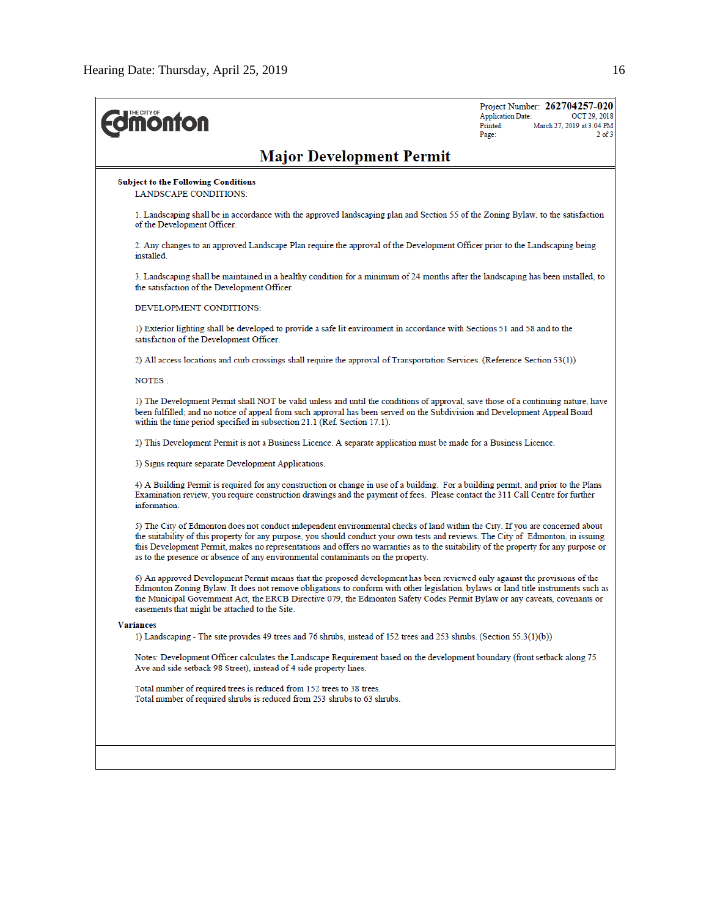| <b><i><u><b>MONTON</b></u></i></b>                                                                                                                                                                                                                                                                                                                                                                                                                                                            | Project Number: 262704257-020<br><b>Application Date:</b><br>OCT 29, 2018<br>Printed:<br>March 27, 2019 at 3:04 PM<br>Page:<br>$2$ of $3$ |
|-----------------------------------------------------------------------------------------------------------------------------------------------------------------------------------------------------------------------------------------------------------------------------------------------------------------------------------------------------------------------------------------------------------------------------------------------------------------------------------------------|-------------------------------------------------------------------------------------------------------------------------------------------|
| <b>Major Development Permit</b>                                                                                                                                                                                                                                                                                                                                                                                                                                                               |                                                                                                                                           |
| <b>Subject to the Following Conditions</b><br><b>LANDSCAPE CONDITIONS:</b>                                                                                                                                                                                                                                                                                                                                                                                                                    |                                                                                                                                           |
| 1. Landscaping shall be in accordance with the approved landscaping plan and Section 55 of the Zoning Bylaw, to the satisfaction<br>of the Development Officer.                                                                                                                                                                                                                                                                                                                               |                                                                                                                                           |
| 2. Any changes to an approved Landscape Plan require the approval of the Development Officer prior to the Landscaping being<br>installed.                                                                                                                                                                                                                                                                                                                                                     |                                                                                                                                           |
| 3. Landscaping shall be maintained in a healthy condition for a minimum of 24 months after the landscaping has been installed, to<br>the satisfaction of the Development Officer.                                                                                                                                                                                                                                                                                                             |                                                                                                                                           |
| DEVELOPMENT CONDITIONS:                                                                                                                                                                                                                                                                                                                                                                                                                                                                       |                                                                                                                                           |
| 1) Exterior lighting shall be developed to provide a safe lit environment in accordance with Sections 51 and 58 and to the<br>satisfaction of the Development Officer.                                                                                                                                                                                                                                                                                                                        |                                                                                                                                           |
| 2) All access locations and curb crossings shall require the approval of Transportation Services. (Reference Section 53(1))                                                                                                                                                                                                                                                                                                                                                                   |                                                                                                                                           |
| NOTES:                                                                                                                                                                                                                                                                                                                                                                                                                                                                                        |                                                                                                                                           |
| 1) The Development Permit shall NOT be valid unless and until the conditions of approval, save those of a continuing nature, have<br>been fulfilled; and no notice of appeal from such approval has been served on the Subdivision and Development Appeal Board<br>within the time period specified in subsection 21.1 (Ref. Section 17.1).                                                                                                                                                   |                                                                                                                                           |
| 2) This Development Permit is not a Business Licence. A separate application must be made for a Business Licence.                                                                                                                                                                                                                                                                                                                                                                             |                                                                                                                                           |
| 3) Signs require separate Development Applications.                                                                                                                                                                                                                                                                                                                                                                                                                                           |                                                                                                                                           |
| 4) A Building Permit is required for any construction or change in use of a building. For a building permit, and prior to the Plans<br>Examination review, you require construction drawings and the payment of fees. Please contact the 311 Call Centre for further<br>information.                                                                                                                                                                                                          |                                                                                                                                           |
| 5) The City of Edmonton does not conduct independent environmental checks of land within the City. If you are concerned about<br>the suitability of this property for any purpose, you should conduct your own tests and reviews. The City of Edmonton, in issuing<br>this Development Permit, makes no representations and offers no warranties as to the suitability of the property for any purpose or<br>as to the presence or absence of any environmental contaminants on the property. |                                                                                                                                           |
| 6) An approved Development Permit means that the proposed development has been reviewed only against the provisions of the<br>Edmonton Zoning Bylaw. It does not remove obligations to conform with other legislation, bylaws or land title instruments such as<br>the Municipal Government Act, the ERCB Directive 079, the Edmonton Safety Codes Permit Bylaw or any caveats, covenants or<br>easements that might be attached to the Site.                                                 |                                                                                                                                           |
| <b>Variances</b>                                                                                                                                                                                                                                                                                                                                                                                                                                                                              |                                                                                                                                           |
| 1) Landscaping - The site provides 49 trees and 76 shrubs, instead of $152$ trees and $253$ shrubs. (Section $55.3(1)(b)$ )                                                                                                                                                                                                                                                                                                                                                                   |                                                                                                                                           |
| Notes: Development Officer calculates the Landscape Requirement based on the development boundary (front setback along 75<br>Ave and side setback 98 Street), instead of 4 side property lines.                                                                                                                                                                                                                                                                                               |                                                                                                                                           |
| Total number of required trees is reduced from 152 trees to 38 trees.<br>Total number of required shrubs is reduced from 253 shrubs to 63 shrubs.                                                                                                                                                                                                                                                                                                                                             |                                                                                                                                           |
|                                                                                                                                                                                                                                                                                                                                                                                                                                                                                               |                                                                                                                                           |
|                                                                                                                                                                                                                                                                                                                                                                                                                                                                                               |                                                                                                                                           |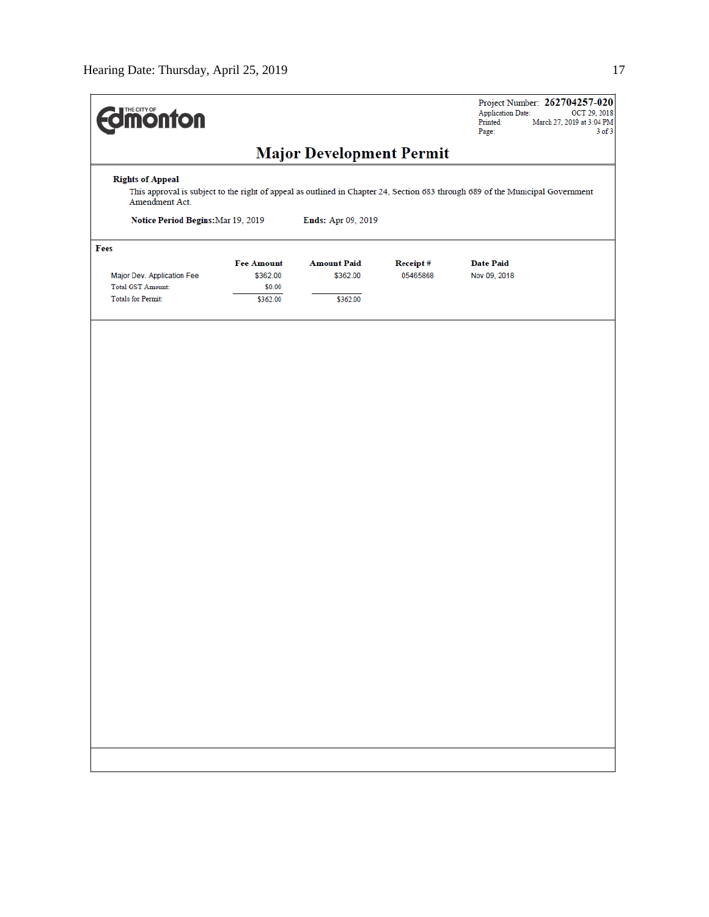| <b>Imonton</b>                                                                      |                                                                                                                                |                                            |                      | Project Number: 262704257-020<br><b>Application Date:</b><br>March 27, 2019 at 3:04 PM<br>Printed:<br>Page: | OCT 29, 2018<br>$3$ of $3$ |  |  |
|-------------------------------------------------------------------------------------|--------------------------------------------------------------------------------------------------------------------------------|--------------------------------------------|----------------------|-------------------------------------------------------------------------------------------------------------|----------------------------|--|--|
| <b>Major Development Permit</b>                                                     |                                                                                                                                |                                            |                      |                                                                                                             |                            |  |  |
| <b>Rights of Appeal</b><br>Amendment Act.                                           | This approval is subject to the right of appeal as outlined in Chapter 24, Section 683 through 689 of the Municipal Government |                                            |                      |                                                                                                             |                            |  |  |
| Notice Period Begins: Mar 19, 2019                                                  |                                                                                                                                | Ends: Apr 09, 2019                         |                      |                                                                                                             |                            |  |  |
| Fees                                                                                |                                                                                                                                |                                            |                      |                                                                                                             |                            |  |  |
| Major Dev. Application Fee<br><b>Total GST Amount:</b><br><b>Totals for Permit:</b> | <b>Fee Amount</b><br>\$362.00<br>\$0.00<br>\$362.00                                                                            | <b>Amount Paid</b><br>\$362.00<br>\$362.00 | Receipt#<br>05465868 | <b>Date Paid</b><br>Nov 09, 2018                                                                            |                            |  |  |
|                                                                                     |                                                                                                                                |                                            |                      |                                                                                                             |                            |  |  |
|                                                                                     |                                                                                                                                |                                            |                      |                                                                                                             |                            |  |  |
|                                                                                     |                                                                                                                                |                                            |                      |                                                                                                             |                            |  |  |
|                                                                                     |                                                                                                                                |                                            |                      |                                                                                                             |                            |  |  |
|                                                                                     |                                                                                                                                |                                            |                      |                                                                                                             |                            |  |  |
|                                                                                     |                                                                                                                                |                                            |                      |                                                                                                             |                            |  |  |
|                                                                                     |                                                                                                                                |                                            |                      |                                                                                                             |                            |  |  |
|                                                                                     |                                                                                                                                |                                            |                      |                                                                                                             |                            |  |  |
|                                                                                     |                                                                                                                                |                                            |                      |                                                                                                             |                            |  |  |
|                                                                                     |                                                                                                                                |                                            |                      |                                                                                                             |                            |  |  |
|                                                                                     |                                                                                                                                |                                            |                      |                                                                                                             |                            |  |  |
|                                                                                     |                                                                                                                                |                                            |                      |                                                                                                             |                            |  |  |
|                                                                                     |                                                                                                                                |                                            |                      |                                                                                                             |                            |  |  |
|                                                                                     |                                                                                                                                |                                            |                      |                                                                                                             |                            |  |  |
|                                                                                     |                                                                                                                                |                                            |                      |                                                                                                             |                            |  |  |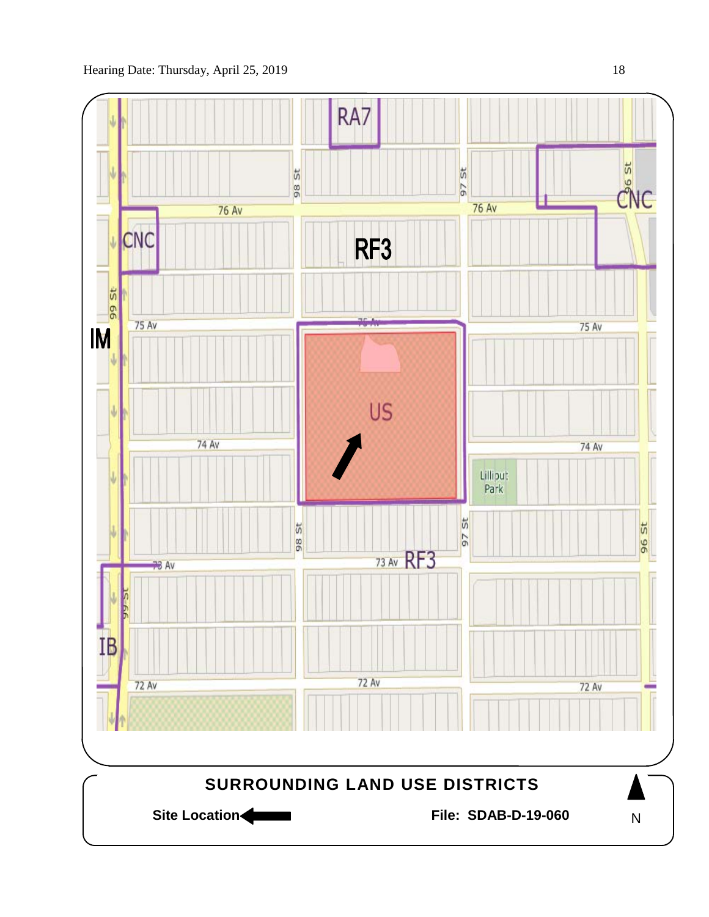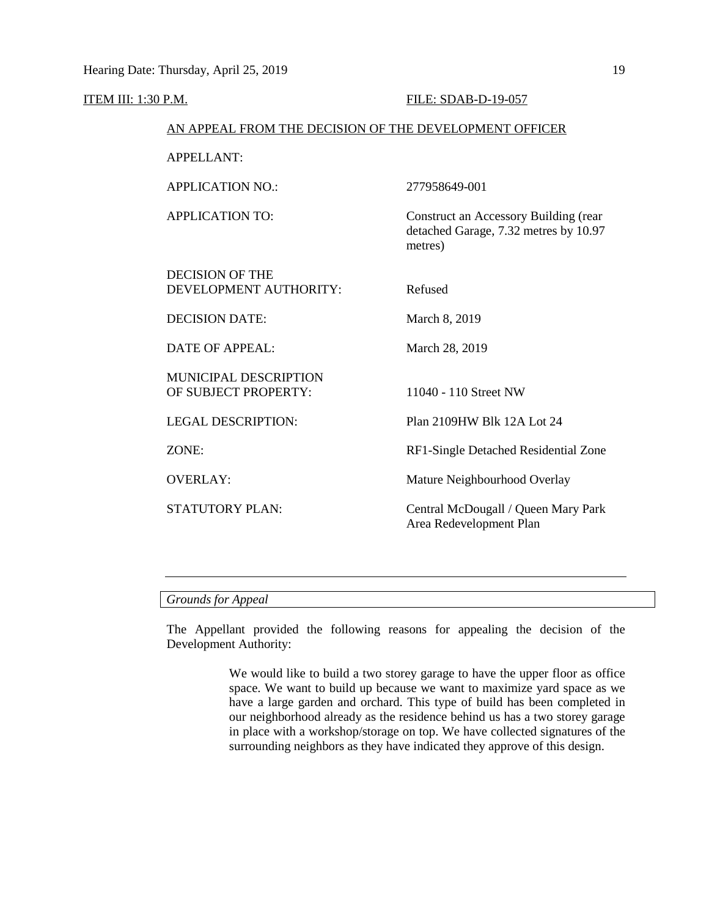# **ITEM III: 1:30 P.M. FILE: SDAB-D-19-057**

### AN APPEAL FROM THE DECISION OF THE DEVELOPMENT OFFICER

APPELLANT:

APPLICATION NO.: 277958649-001 APPLICATION TO: Construct an Accessory Building (rear detached Garage, 7.32 metres by 10.97 metres) DECISION OF THE DEVELOPMENT AUTHORITY: Refused DECISION DATE: March 8, 2019 DATE OF APPEAL: March 28, 2019 MUNICIPAL DESCRIPTION OF SUBJECT PROPERTY: 11040 - 110 Street NW LEGAL DESCRIPTION: Plan 2109HW Blk 12A Lot 24 ZONE: RF1-Single Detached Residential Zone OVERLAY: Mature Neighbourhood Overlay STATUTORY PLAN: Central McDougall / Queen Mary Park Area Redevelopment Plan

# *Grounds for Appeal*

The Appellant provided the following reasons for appealing the decision of the Development Authority:

> We would like to build a two storey garage to have the upper floor as office space. We want to build up because we want to maximize yard space as we have a large garden and orchard. This type of build has been completed in our neighborhood already as the residence behind us has a two storey garage in place with a workshop/storage on top. We have collected signatures of the surrounding neighbors as they have indicated they approve of this design.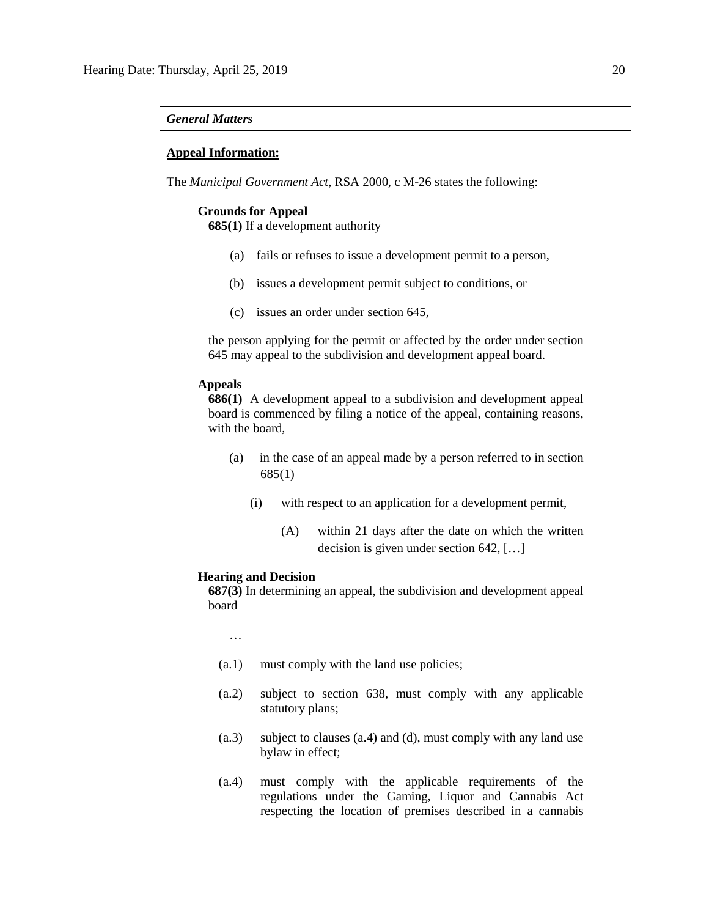#### *General Matters*

#### **Appeal Information:**

The *Municipal Government Act*, RSA 2000, c M-26 states the following:

#### **Grounds for Appeal**

**685(1)** If a development authority

- (a) fails or refuses to issue a development permit to a person,
- (b) issues a development permit subject to conditions, or
- (c) issues an order under section 645,

the person applying for the permit or affected by the order under section 645 may appeal to the subdivision and development appeal board.

# **Appeals**

**686(1)** A development appeal to a subdivision and development appeal board is commenced by filing a notice of the appeal, containing reasons, with the board,

- (a) in the case of an appeal made by a person referred to in section 685(1)
	- (i) with respect to an application for a development permit,
		- (A) within 21 days after the date on which the written decision is given under section 642, […]

#### **Hearing and Decision**

**687(3)** In determining an appeal, the subdivision and development appeal board

…

- (a.1) must comply with the land use policies;
- (a.2) subject to section 638, must comply with any applicable statutory plans;
- (a.3) subject to clauses (a.4) and (d), must comply with any land use bylaw in effect;
- (a.4) must comply with the applicable requirements of the regulations under the Gaming, Liquor and Cannabis Act respecting the location of premises described in a cannabis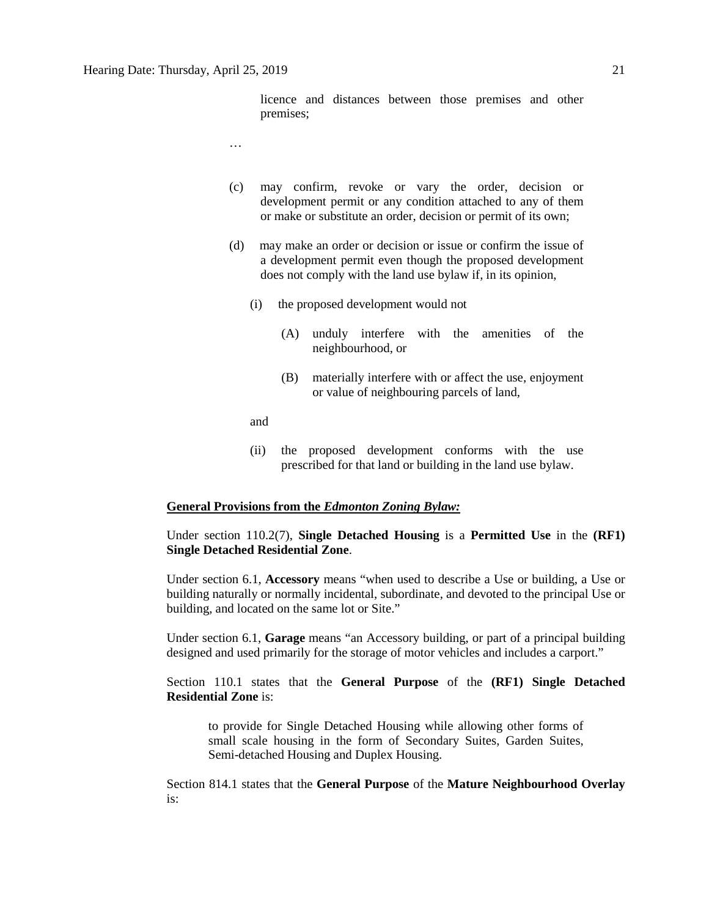licence and distances between those premises and other premises;

- …
- (c) may confirm, revoke or vary the order, decision or development permit or any condition attached to any of them or make or substitute an order, decision or permit of its own;
- (d) may make an order or decision or issue or confirm the issue of a development permit even though the proposed development does not comply with the land use bylaw if, in its opinion,
	- (i) the proposed development would not
		- (A) unduly interfere with the amenities of the neighbourhood, or
		- (B) materially interfere with or affect the use, enjoyment or value of neighbouring parcels of land,

and

(ii) the proposed development conforms with the use prescribed for that land or building in the land use bylaw.

### **General Provisions from the** *Edmonton Zoning Bylaw:*

Under section 110.2(7), **Single Detached Housing** is a **Permitted Use** in the **(RF1) Single Detached Residential Zone**.

Under section 6.1, **Accessory** means "when used to describe a Use or building, a Use or building naturally or normally incidental, subordinate, and devoted to the principal Use or building, and located on the same lot or Site."

Under section 6.1, **Garage** means "an Accessory building, or part of a principal building designed and used primarily for the storage of motor vehicles and includes a carport."

Section 110.1 states that the **General Purpose** of the **(RF1) Single Detached Residential Zone** is:

to provide for Single Detached Housing while allowing other forms of small scale housing in the form of Secondary Suites, Garden Suites, Semi-detached Housing and Duplex Housing.

Section 814.1 states that the **General Purpose** of the **Mature Neighbourhood Overlay** is: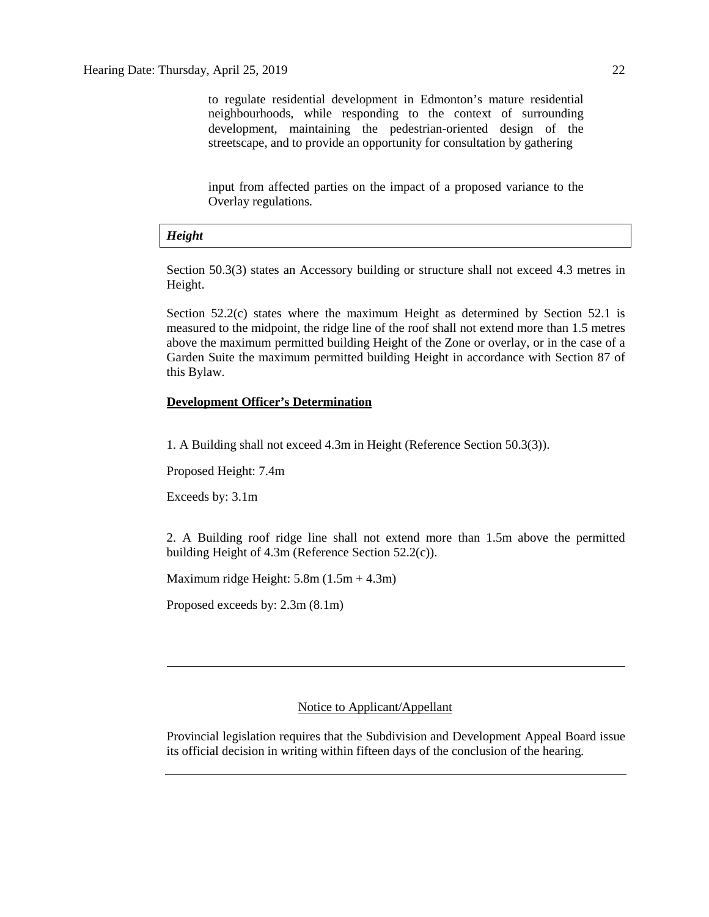to regulate residential development in Edmonton's mature residential neighbourhoods, while responding to the context of surrounding development, maintaining the pedestrian-oriented design of the streetscape, and to provide an opportunity for consultation by gathering

input from affected parties on the impact of a proposed variance to the Overlay regulations.

#### *Height*

Section 50.3(3) states an Accessory building or structure shall not exceed 4.3 metres in Height.

Section 52.2(c) states where the maximum Height as determined by Section 52.1 is measured to the midpoint, the ridge line of the roof shall not extend more than 1.5 metres above the maximum permitted building Height of the Zone or overlay, or in the case of a Garden Suite the maximum permitted building Height in accordance with Section 87 of this Bylaw.

## **Development Officer's Determination**

1. A Building shall not exceed 4.3m in Height (Reference Section 50.3(3)).

Proposed Height: 7.4m

Exceeds by: 3.1m

2. A Building roof ridge line shall not extend more than 1.5m above the permitted building Height of 4.3m (Reference Section 52.2(c)).

Maximum ridge Height:  $5.8m(1.5m + 4.3m)$ 

Proposed exceeds by: 2.3m (8.1m)

# Notice to Applicant/Appellant

Provincial legislation requires that the Subdivision and Development Appeal Board issue its official decision in writing within fifteen days of the conclusion of the hearing.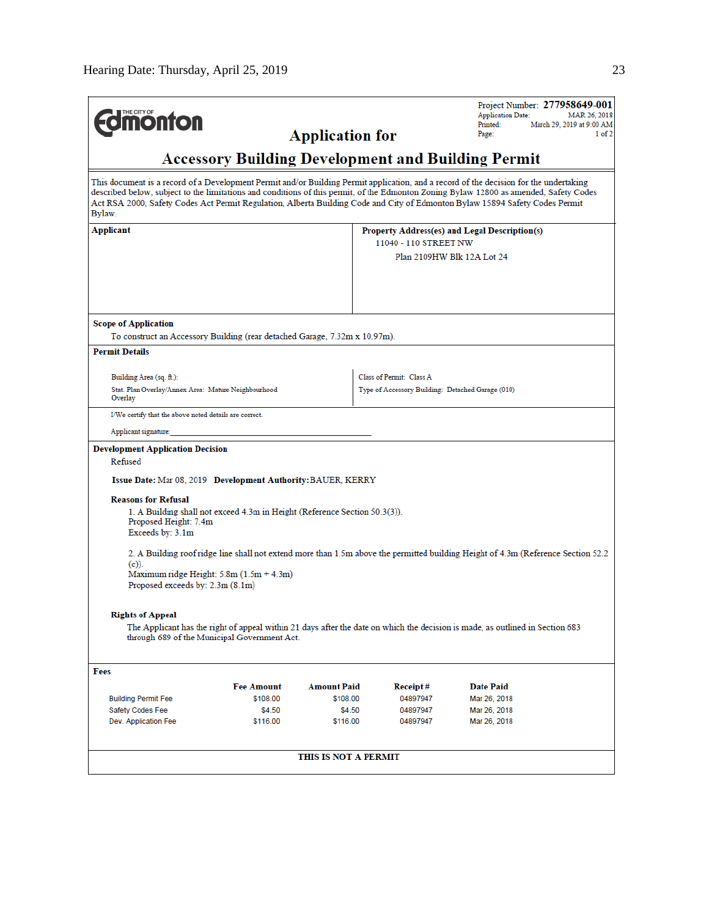| THE CITY OF                                                                                                                                                                                                                                                                                                                                                                                                                |                                                                                                                                    |                        |                                                   | Project Number: 277958649-001<br><b>Application Date:</b><br>MAR 26, 2018 |  |  |  |
|----------------------------------------------------------------------------------------------------------------------------------------------------------------------------------------------------------------------------------------------------------------------------------------------------------------------------------------------------------------------------------------------------------------------------|------------------------------------------------------------------------------------------------------------------------------------|------------------------|---------------------------------------------------|---------------------------------------------------------------------------|--|--|--|
| <b>nonton</b>                                                                                                                                                                                                                                                                                                                                                                                                              |                                                                                                                                    | <b>Application for</b> |                                                   | Printed:<br>March 29, 2019 at 9:00 AM<br>1 of 2<br>Page:                  |  |  |  |
| <b>Accessory Building Development and Building Permit</b>                                                                                                                                                                                                                                                                                                                                                                  |                                                                                                                                    |                        |                                                   |                                                                           |  |  |  |
| This document is a record of a Development Permit and/or Building Permit application, and a record of the decision for the undertaking<br>described below, subject to the limitations and conditions of this permit, of the Edmonton Zoning Bylaw 12800 as amended, Safety Codes<br>Act RSA 2000, Safety Codes Act Permit Regulation, Alberta Building Code and City of Edmonton Bylaw 15894 Safety Codes Permit<br>Bylaw. |                                                                                                                                    |                        |                                                   |                                                                           |  |  |  |
| Applicant                                                                                                                                                                                                                                                                                                                                                                                                                  |                                                                                                                                    |                        |                                                   | Property Address(es) and Legal Description(s)                             |  |  |  |
|                                                                                                                                                                                                                                                                                                                                                                                                                            | 11040 - 110 STREET NW                                                                                                              |                        |                                                   |                                                                           |  |  |  |
|                                                                                                                                                                                                                                                                                                                                                                                                                            |                                                                                                                                    |                        |                                                   | Plan 2109HW Blk 12A Lot 24                                                |  |  |  |
|                                                                                                                                                                                                                                                                                                                                                                                                                            |                                                                                                                                    |                        |                                                   |                                                                           |  |  |  |
|                                                                                                                                                                                                                                                                                                                                                                                                                            |                                                                                                                                    |                        |                                                   |                                                                           |  |  |  |
|                                                                                                                                                                                                                                                                                                                                                                                                                            |                                                                                                                                    |                        |                                                   |                                                                           |  |  |  |
| Scope of Application                                                                                                                                                                                                                                                                                                                                                                                                       |                                                                                                                                    |                        |                                                   |                                                                           |  |  |  |
| To construct an Accessory Building (rear detached Garage, 7.32m x 10.97m).                                                                                                                                                                                                                                                                                                                                                 |                                                                                                                                    |                        |                                                   |                                                                           |  |  |  |
| <b>Permit Details</b>                                                                                                                                                                                                                                                                                                                                                                                                      |                                                                                                                                    |                        |                                                   |                                                                           |  |  |  |
| Building Area (sq. ft.):                                                                                                                                                                                                                                                                                                                                                                                                   |                                                                                                                                    |                        | Class of Permit: Class A                          |                                                                           |  |  |  |
| Stat. Plan Overlay/Annex Area: Mature Neighbourhood<br>Overlay                                                                                                                                                                                                                                                                                                                                                             |                                                                                                                                    |                        | Type of Accessory Building: Detached Garage (010) |                                                                           |  |  |  |
| I/We certify that the above noted details are correct.                                                                                                                                                                                                                                                                                                                                                                     |                                                                                                                                    |                        |                                                   |                                                                           |  |  |  |
| Applicant signature:                                                                                                                                                                                                                                                                                                                                                                                                       |                                                                                                                                    |                        |                                                   |                                                                           |  |  |  |
| <b>Development Application Decision</b>                                                                                                                                                                                                                                                                                                                                                                                    |                                                                                                                                    |                        |                                                   |                                                                           |  |  |  |
| Refused                                                                                                                                                                                                                                                                                                                                                                                                                    |                                                                                                                                    |                        |                                                   |                                                                           |  |  |  |
| Issue Date: Mar 08, 2019 Development Authority: BAUER, KERRY                                                                                                                                                                                                                                                                                                                                                               |                                                                                                                                    |                        |                                                   |                                                                           |  |  |  |
| <b>Reasons for Refusal</b><br>1. A Building shall not exceed 4.3m in Height (Reference Section 50.3(3)).<br>Proposed Height: 7.4m<br>Exceeds by: 3.1m                                                                                                                                                                                                                                                                      |                                                                                                                                    |                        |                                                   |                                                                           |  |  |  |
|                                                                                                                                                                                                                                                                                                                                                                                                                            |                                                                                                                                    |                        |                                                   |                                                                           |  |  |  |
| $(c)$ ).                                                                                                                                                                                                                                                                                                                                                                                                                   | 2. A Building roof ridge line shall not extend more than 1.5m above the permitted building Height of 4.3m (Reference Section 52.2) |                        |                                                   |                                                                           |  |  |  |
| Maximum ridge Height: $5.8m(1.5m + 4.3m)$                                                                                                                                                                                                                                                                                                                                                                                  |                                                                                                                                    |                        |                                                   |                                                                           |  |  |  |
|                                                                                                                                                                                                                                                                                                                                                                                                                            | Proposed exceeds by: 2.3m (8.1m)                                                                                                   |                        |                                                   |                                                                           |  |  |  |
|                                                                                                                                                                                                                                                                                                                                                                                                                            |                                                                                                                                    |                        |                                                   |                                                                           |  |  |  |
| <b>Rights of Appeal</b><br>The Applicant has the right of appeal within 21 days after the date on which the decision is made, as outlined in Section 683<br>through 689 of the Municipal Government Act.                                                                                                                                                                                                                   |                                                                                                                                    |                        |                                                   |                                                                           |  |  |  |
| Fees                                                                                                                                                                                                                                                                                                                                                                                                                       |                                                                                                                                    |                        |                                                   |                                                                           |  |  |  |
|                                                                                                                                                                                                                                                                                                                                                                                                                            | <b>Fee Amount</b>                                                                                                                  | Amount Paid            | <b>Receipt</b> #                                  | Date Paid                                                                 |  |  |  |
| <b>Building Permit Fee</b>                                                                                                                                                                                                                                                                                                                                                                                                 | \$108.00                                                                                                                           | \$108.00               | 04897947                                          | Mar 26, 2018                                                              |  |  |  |
| Safety Codes Fee                                                                                                                                                                                                                                                                                                                                                                                                           | \$4.50                                                                                                                             | \$4.50                 | 04897947                                          | Mar 26, 2018                                                              |  |  |  |
| Dev. Application Fee                                                                                                                                                                                                                                                                                                                                                                                                       | \$116.00                                                                                                                           | \$116.00               | 04897947                                          | Mar 26, 2018                                                              |  |  |  |
|                                                                                                                                                                                                                                                                                                                                                                                                                            |                                                                                                                                    |                        |                                                   |                                                                           |  |  |  |
|                                                                                                                                                                                                                                                                                                                                                                                                                            |                                                                                                                                    | THIS IS NOT A PERMIT   |                                                   |                                                                           |  |  |  |
|                                                                                                                                                                                                                                                                                                                                                                                                                            |                                                                                                                                    |                        |                                                   |                                                                           |  |  |  |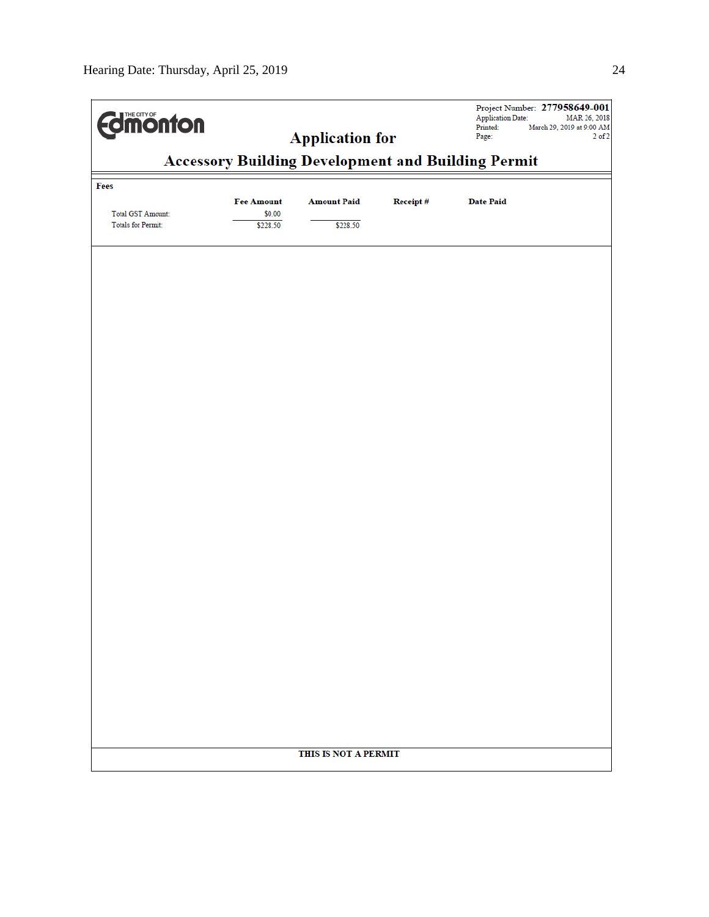| <b>dimonton</b>                                       | Project Number: 277958649-001<br><b>Application Date:</b><br>MAR 26, 2018<br>Printed:<br>March 29, 2019 at 9:00 AM<br>Page:<br>$2$ of $2$<br><b>Accessory Building Development and Building Permit</b> |                      |          |                  |  |  |
|-------------------------------------------------------|--------------------------------------------------------------------------------------------------------------------------------------------------------------------------------------------------------|----------------------|----------|------------------|--|--|
|                                                       |                                                                                                                                                                                                        |                      |          |                  |  |  |
| Fees                                                  |                                                                                                                                                                                                        |                      |          |                  |  |  |
|                                                       | <b>Fee Amount</b>                                                                                                                                                                                      | <b>Amount Paid</b>   | Receipt# | <b>Date Paid</b> |  |  |
| <b>Total GST Amount:</b><br><b>Totals for Permit:</b> | \$0.00<br>\$228.50                                                                                                                                                                                     | \$228.50             |          |                  |  |  |
|                                                       |                                                                                                                                                                                                        |                      |          |                  |  |  |
|                                                       |                                                                                                                                                                                                        |                      |          |                  |  |  |
|                                                       |                                                                                                                                                                                                        |                      |          |                  |  |  |
|                                                       |                                                                                                                                                                                                        |                      |          |                  |  |  |
|                                                       |                                                                                                                                                                                                        |                      |          |                  |  |  |
|                                                       |                                                                                                                                                                                                        |                      |          |                  |  |  |
|                                                       |                                                                                                                                                                                                        |                      |          |                  |  |  |
|                                                       |                                                                                                                                                                                                        |                      |          |                  |  |  |
|                                                       |                                                                                                                                                                                                        |                      |          |                  |  |  |
|                                                       |                                                                                                                                                                                                        |                      |          |                  |  |  |
|                                                       |                                                                                                                                                                                                        |                      |          |                  |  |  |
|                                                       |                                                                                                                                                                                                        |                      |          |                  |  |  |
|                                                       |                                                                                                                                                                                                        |                      |          |                  |  |  |
|                                                       |                                                                                                                                                                                                        |                      |          |                  |  |  |
|                                                       |                                                                                                                                                                                                        |                      |          |                  |  |  |
|                                                       |                                                                                                                                                                                                        |                      |          |                  |  |  |
|                                                       |                                                                                                                                                                                                        |                      |          |                  |  |  |
|                                                       |                                                                                                                                                                                                        |                      |          |                  |  |  |
|                                                       |                                                                                                                                                                                                        |                      |          |                  |  |  |
|                                                       |                                                                                                                                                                                                        |                      |          |                  |  |  |
|                                                       |                                                                                                                                                                                                        |                      |          |                  |  |  |
|                                                       |                                                                                                                                                                                                        |                      |          |                  |  |  |
|                                                       |                                                                                                                                                                                                        | THIS IS NOT A PERMIT |          |                  |  |  |
|                                                       |                                                                                                                                                                                                        |                      |          |                  |  |  |